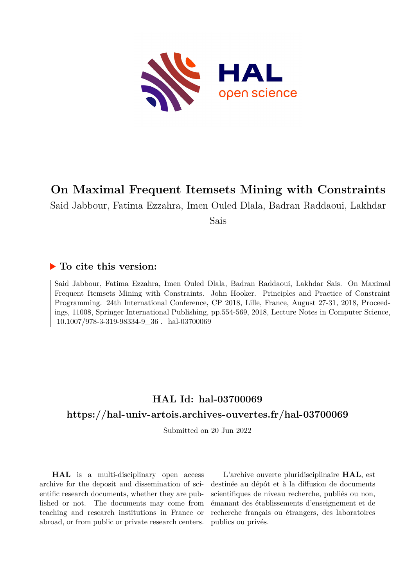

# **On Maximal Frequent Itemsets Mining with Constraints**

Said Jabbour, Fatima Ezzahra, Imen Ouled Dlala, Badran Raddaoui, Lakhdar

Sais

## **To cite this version:**

Said Jabbour, Fatima Ezzahra, Imen Ouled Dlala, Badran Raddaoui, Lakhdar Sais. On Maximal Frequent Itemsets Mining with Constraints. John Hooker. Principles and Practice of Constraint Programming. 24th International Conference, CP 2018, Lille, France, August 27-31, 2018, Proceedings, 11008, Springer International Publishing, pp.554-569, 2018, Lecture Notes in Computer Science,  $10.1007/978-3-319-98334-9~~36$ . hal-03700069

## **HAL Id: hal-03700069**

### **<https://hal-univ-artois.archives-ouvertes.fr/hal-03700069>**

Submitted on 20 Jun 2022

**HAL** is a multi-disciplinary open access archive for the deposit and dissemination of scientific research documents, whether they are published or not. The documents may come from teaching and research institutions in France or abroad, or from public or private research centers.

L'archive ouverte pluridisciplinaire **HAL**, est destinée au dépôt et à la diffusion de documents scientifiques de niveau recherche, publiés ou non, émanant des établissements d'enseignement et de recherche français ou étrangers, des laboratoires publics ou privés.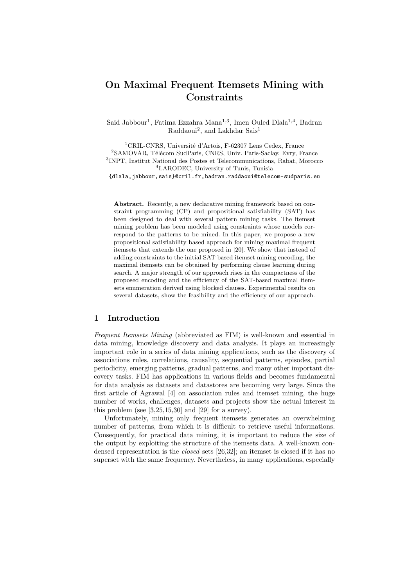## On Maximal Frequent Itemsets Mining with **Constraints**

Said Jabbour<sup>1</sup>, Fatima Ezzahra Mana<sup>1,3</sup>, Imen Ouled Dlala<sup>1,4</sup>, Badran Raddaoui<sup>2</sup>, and Lakhdar Sais<sup>1</sup>

<sup>1</sup>CRIL-CNRS, Université d'Artois, F-62307 Lens Cedex, France <sup>2</sup>SAMOVAR, Télécom SudParis, CNRS, Univ. Paris-Saclay, Evry, France 3 INPT, Institut National des Postes et Telecommunications, Rabat, Morocco <sup>4</sup>LARODEC, University of Tunis, Tunisia {dlala,jabbour,sais}@cril.fr,badran.raddaoui@telecom-sudparis.eu

Abstract. Recently, a new declarative mining framework based on constraint programming (CP) and propositional satisfiability (SAT) has been designed to deal with several pattern mining tasks. The itemset mining problem has been modeled using constraints whose models correspond to the patterns to be mined. In this paper, we propose a new propositional satisfiability based approach for mining maximal frequent itemsets that extends the one proposed in [20]. We show that instead of adding constraints to the initial SAT based itemset mining encoding, the maximal itemsets can be obtained by performing clause learning during search. A major strength of our approach rises in the compactness of the proposed encoding and the efficiency of the SAT-based maximal itemsets enumeration derived using blocked clauses. Experimental results on several datasets, show the feasibility and the efficiency of our approach.

#### 1 Introduction

Frequent Itemsets Mining (abbreviated as FIM) is well-known and essential in data mining, knowledge discovery and data analysis. It plays an increasingly important role in a series of data mining applications, such as the discovery of associations rules, correlations, causality, sequential patterns, episodes, partial periodicity, emerging patterns, gradual patterns, and many other important discovery tasks. FIM has applications in various fields and becomes fundamental for data analysis as datasets and datastores are becoming very large. Since the first article of Agrawal [4] on association rules and itemset mining, the huge number of works, challenges, datasets and projects show the actual interest in this problem (see  $[3.25, 15, 30]$  and  $[29]$  for a survey).

Unfortunately, mining only frequent itemsets generates an overwhelming number of patterns, from which it is difficult to retrieve useful informations. Consequently, for practical data mining, it is important to reduce the size of the output by exploiting the structure of the itemsets data. A well-known condensed representation is the *closed* sets [26,32]; an itemset is closed if it has no superset with the same frequency. Nevertheless, in many applications, especially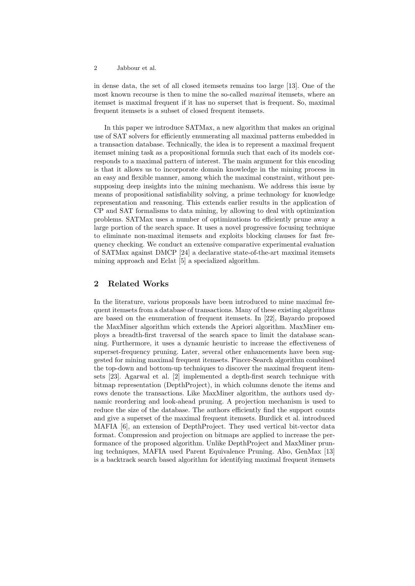in dense data, the set of all closed itemsets remains too large [13]. One of the most known recourse is then to mine the so-called *maximal* itemsets, where an itemset is maximal frequent if it has no superset that is frequent. So, maximal frequent itemsets is a subset of closed frequent itemsets.

In this paper we introduce SATMax, a new algorithm that makes an original use of SAT solvers for efficiently enumerating all maximal patterns embedded in a transaction database. Technically, the idea is to represent a maximal frequent itemset mining task as a propositional formula such that each of its models corresponds to a maximal pattern of interest. The main argument for this encoding is that it allows us to incorporate domain knowledge in the mining process in an easy and flexible manner, among which the maximal constraint, without presupposing deep insights into the mining mechanism. We address this issue by means of propositional satisfiability solving, a prime technology for knowledge representation and reasoning. This extends earlier results in the application of CP and SAT formalisms to data mining, by allowing to deal with optimization problems. SATMax uses a number of optimizations to efficiently prune away a large portion of the search space. It uses a novel progressive focusing technique to eliminate non-maximal itemsets and exploits blocking clauses for fast frequency checking. We conduct an extensive comparative experimental evaluation of SATMax against DMCP [24] a declarative state-of-the-art maximal itemsets mining approach and Eclat [5] a specialized algorithm.

#### 2 Related Works

In the literature, various proposals have been introduced to mine maximal frequent itemsets from a database of transactions. Many of these existing algorithms are based on the enumeration of frequent itemsets. In [22], Bayardo proposed the MaxMiner algorithm which extends the Apriori algorithm. MaxMiner employs a breadth-first traversal of the search space to limit the database scanning. Furthermore, it uses a dynamic heuristic to increase the effectiveness of superset-frequency pruning. Later, several other enhancements have been suggested for mining maximal frequent itemsets. Pincer-Search algorithm combined the top-down and bottom-up techniques to discover the maximal frequent itemsets [23]. Agarwal et al. [2] implemented a depth-first search technique with bitmap representation (DepthProject), in which columns denote the items and rows denote the transactions. Like MaxMiner algorithm, the authors used dynamic reordering and look-ahead pruning. A projection mechanism is used to reduce the size of the database. The authors efficiently find the support counts and give a superset of the maximal frequent itemsets. Burdick et al. introduced MAFIA [6], an extension of DepthProject. They used vertical bit-vector data format. Compression and projection on bitmaps are applied to increase the performance of the proposed algorithm. Unlike DepthProject and MaxMiner pruning techniques, MAFIA used Parent Equivalence Pruning. Also, GenMax [13] is a backtrack search based algorithm for identifying maximal frequent itemsets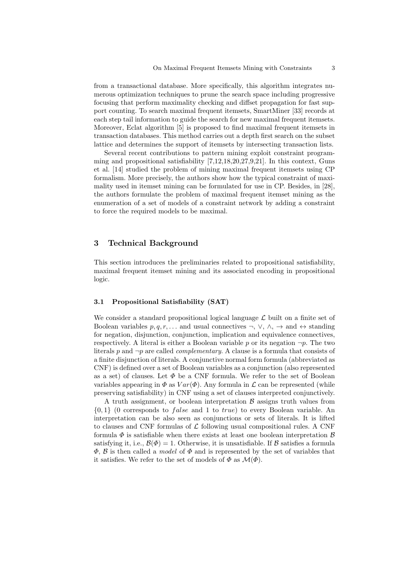from a transactional database. More specifically, this algorithm integrates numerous optimization techniques to prune the search space including progressive focusing that perform maximality checking and diffset propagation for fast support counting. To search maximal frequent itemsets, SmartMiner [33] records at each step tail information to guide the search for new maximal frequent itemsets. Moreover, Eclat algorithm [5] is proposed to find maximal frequent itemsets in transaction databases. This method carries out a depth first search on the subset lattice and determines the support of itemsets by intersecting transaction lists.

Several recent contributions to pattern mining exploit constraint programming and propositional satisfiability [7,12,18,20,27,9,21]. In this context, Guns et al. [14] studied the problem of mining maximal frequent itemsets using CP formalism. More precisely, the authors show how the typical constraint of maximality used in itemset mining can be formulated for use in CP. Besides, in [28], the authors formulate the problem of maximal frequent itemset mining as the enumeration of a set of models of a constraint network by adding a constraint to force the required models to be maximal.

#### 3 Technical Background

This section introduces the preliminaries related to propositional satisfiability, maximal frequent itemset mining and its associated encoding in propositional logic.

#### 3.1 Propositional Satisfiability (SAT)

We consider a standard propositional logical language  $\mathcal L$  built on a finite set of Boolean variables  $p, q, r, \ldots$  and usual connectives  $\neg, \vee, \wedge, \rightarrow$  and  $\leftrightarrow$  standing for negation, disjunction, conjunction, implication and equivalence connectives, respectively. A literal is either a Boolean variable p or its negation  $\neg p$ . The two literals p and  $\neg p$  are called *complementary*. A clause is a formula that consists of a finite disjunction of literals. A conjunctive normal form formula (abbreviated as CNF) is defined over a set of Boolean variables as a conjunction (also represented as a set) of clauses. Let  $\Phi$  be a CNF formula. We refer to the set of Boolean variables appearing in  $\Phi$  as  $Var(\Phi)$ . Any formula in  $\mathcal L$  can be represented (while preserving satisfiability) in CNF using a set of clauses interpreted conjunctively.

A truth assignment, or boolean interpretation  $\beta$  assigns truth values from  $\{0, 1\}$  (0 corresponds to *false* and 1 to *true*) to every Boolean variable. An interpretation can be also seen as conjunctions or sets of literals. It is lifted to clauses and CNF formulas of  $\mathcal L$  following usual compositional rules. A CNF formula  $\Phi$  is satisfiable when there exists at least one boolean interpretation  $\beta$ satisfying it, i.e.,  $\mathcal{B}(\Phi) = 1$ . Otherwise, it is unsatisfiable. If  $\mathcal B$  satisfies a formula  $\Phi$ ,  $\beta$  is then called a *model* of  $\Phi$  and is represented by the set of variables that it satisfies. We refer to the set of models of  $\Phi$  as  $\mathcal{M}(\Phi)$ .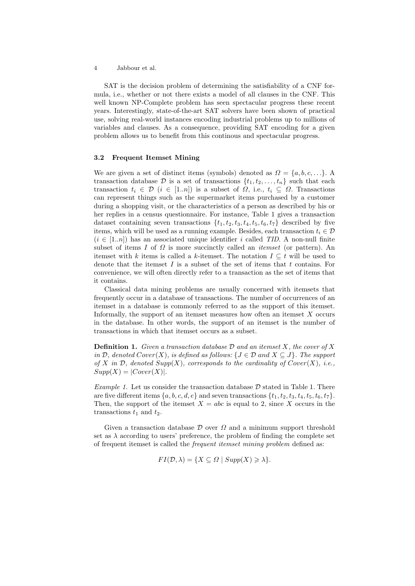SAT is the decision problem of determining the satisfiability of a CNF formula, i.e., whether or not there exists a model of all clauses in the CNF. This well known NP-Complete problem has seen spectacular progress these recent years. Interestingly, state-of-the-art SAT solvers have been shown of practical use, solving real-world instances encoding industrial problems up to millions of variables and clauses. As a consequence, providing SAT encoding for a given problem allows us to benefit from this continous and spectacular progress.

#### 3.2 Frequent Itemset Mining

We are given a set of distinct items (symbols) denoted as  $\Omega = \{a, b, c, \ldots\}$ . transaction database  $\mathcal{D}$  is a set of transactions  $\{t_1, t_2, \ldots, t_n\}$  such that each transaction  $t_i \in \mathcal{D}$   $(i \in [1..n])$  is a subset of  $\Omega$ , i.e.,  $t_i \subseteq \Omega$ . Transactions can represent things such as the supermarket items purchased by a customer during a shopping visit, or the characteristics of a person as described by his or her replies in a census questionnaire. For instance, Table 1 gives a transaction dataset containing seven transactions  $\{t_1, t_2, t_3, t_4, t_5, t_6, t_7\}$  described by five items, which will be used as a running example. Besides, each transaction  $t_i \in \mathcal{D}$  $(i \in [1..n])$  has an associated unique identifier i called TID. A non-null finite subset of items I of  $\Omega$  is more succinctly called an *itemset* (or pattern). An itemset with k items is called a k-itemset. The notation  $I \subseteq t$  will be used to denote that the itemset  $I$  is a subset of the set of items that  $t$  contains. For convenience, we will often directly refer to a transaction as the set of items that it contains.

Classical data mining problems are usually concerned with itemsets that frequently occur in a database of transactions. The number of occurrences of an itemset in a database is commonly referred to as the support of this itemset. Informally, the support of an itemset measures how often an itemset  $X$  occurs in the database. In other words, the support of an itemset is the number of transactions in which that itemset occurs as a subset.

**Definition 1.** Given a transaction database  $D$  and an itemset  $X$ , the cover of  $X$ in D, denoted  $Cover(X)$ , is defined as follows:  $\{J \in \mathcal{D} \text{ and } X \subseteq J\}$ . The support of X in D, denoted Supp $(X)$ , corresponds to the cardinality of Cover $(X)$ , i.e.,  $Supp(X) = |Cover(X)|$ .

*Example 1.* Let us consider the transaction database  $D$  stated in Table 1. There are five different items  $\{a, b, c, d, e\}$  and seven transactions  $\{t_1, t_2, t_3, t_4, t_5, t_6, t_7\}$ . Then, the support of the itemset  $X = abc$  is equal to 2, since X occurs in the transactions  $t_1$  and  $t_2$ .

Given a transaction database  $\mathcal D$  over  $\Omega$  and a minimum support threshold set as  $\lambda$  according to users' preference, the problem of finding the complete set of frequent itemset is called the frequent itemset mining problem defined as:

$$
FI(\mathcal{D}, \lambda) = \{ X \subseteq \Omega \mid Supp(X) \geq \lambda \}.
$$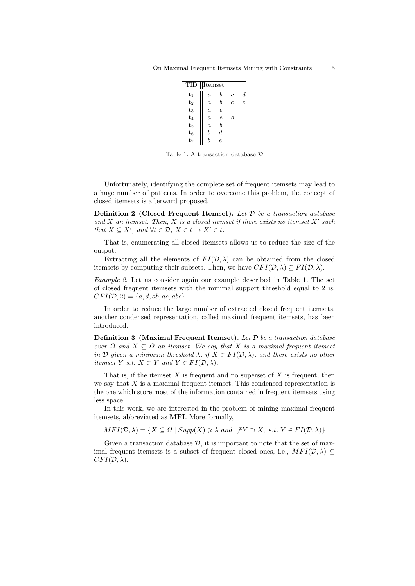| TID            | Itemset          |            |                |                |  |  |
|----------------|------------------|------------|----------------|----------------|--|--|
| tı             | $\boldsymbol{a}$ | b          | $\mathfrak c$  | $\overline{d}$ |  |  |
| t2             | $\overline{a}$   | b          | $\overline{c}$ | $\overline{e}$ |  |  |
| $t_3$          | $\overline{a}$   | e          |                |                |  |  |
| $t_4$          | $\boldsymbol{a}$ | $\epsilon$ | d.             |                |  |  |
| t <sub>5</sub> | $\overline{a}$   | b          |                |                |  |  |
| $t_6$          | b                | d          |                |                |  |  |
| $t_{7}$        | h                | e          |                |                |  |  |

Table 1: A transaction database D

Unfortunately, identifying the complete set of frequent itemsets may lead to a huge number of patterns. In order to overcome this problem, the concept of closed itemsets is afterward proposed.

Definition 2 (Closed Frequent Itemset). Let  $D$  be a transaction database and  $X$  an itemset. Then,  $X$  is a closed itemset if there exists no itemset  $X'$  such that  $X \subseteq X'$ , and  $\forall t \in \mathcal{D}, X \in t \rightarrow X' \in t$ .

That is, enumerating all closed itemsets allows us to reduce the size of the output.

Extracting all the elements of  $FI(D, \lambda)$  can be obtained from the closed itemsets by computing their subsets. Then, we have  $CFI(\mathcal{D}, \lambda) \subseteq FI(\mathcal{D}, \lambda)$ .

Example 2. Let us consider again our example described in Table 1. The set of closed frequent itemsets with the minimal support threshold equal to 2 is:  $CFI(\mathcal{D}, 2) = \{a, d, ab, ae, abc\}.$ 

In order to reduce the large number of extracted closed frequent itemsets, another condensed representation, called maximal frequent itemsets, has been introduced.

**Definition 3 (Maximal Frequent Itemset).** Let  $D$  be a transaction database over  $\Omega$  and  $X \subseteq \Omega$  an itemset. We say that X is a maximal frequent itemset in D given a minimum threshold  $\lambda$ , if  $X \in FI(D, \lambda)$ , and there exists no other itemset Y s.t.  $X \subset Y$  and  $Y \in FI(\mathcal{D}, \lambda)$ .

That is, if the itemset  $X$  is frequent and no superset of  $X$  is frequent, then we say that  $X$  is a maximal frequent itemset. This condensed representation is the one which store most of the information contained in frequent itemsets using less space.

In this work, we are interested in the problem of mining maximal frequent itemsets, abbreviated as MFI. More formally,

 $MFI(\mathcal{D}, \lambda) = \{X \subseteq \Omega \mid Supp(X) \geq \lambda \text{ and } \exists Y \supset X, \text{ s.t. } Y \in FI(\mathcal{D}, \lambda)\}\$ 

Given a transaction database  $\mathcal{D}$ , it is important to note that the set of maximal frequent itemsets is a subset of frequent closed ones, i.e.,  $MFI(\mathcal{D},\lambda) \subseteq$  $CFI(\mathcal{D}, \lambda)$ .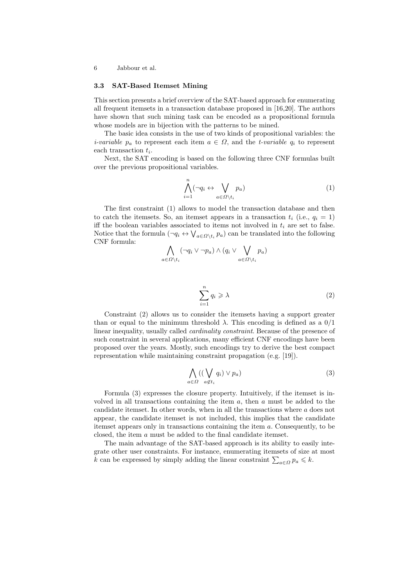#### 3.3 SAT-Based Itemset Mining

This section presents a brief overview of the SAT-based approach for enumerating all frequent itemsets in a transaction database proposed in [16,20]. The authors have shown that such mining task can be encoded as a propositional formula whose models are in bijection with the patterns to be mined.

The basic idea consists in the use of two kinds of propositional variables: the *i-variable*  $p_a$  to represent each item  $a \in \Omega$ , and the *t-variable*  $q_i$  to represent each transaction  $t_i$ .

Next, the SAT encoding is based on the following three CNF formulas built over the previous propositional variables.

$$
\bigwedge_{i=1}^{n} (\neg q_i \leftrightarrow \bigvee_{a \in \varOmega \setminus t_i} p_a) \tag{1}
$$

The first constraint (1) allows to model the transaction database and then to catch the itemsets. So, an itemset appears in a transaction  $t_i$  (i.e.,  $q_i = 1$ ) iff the boolean variables associated to items not involved in  $t_i$  are set to false. Notice that the formula  $(\neg q_i \leftrightarrow \bigvee_{a \in \Omega \setminus t_i} p_a)$  can be translated into the following CNF formula:

$$
\bigwedge_{a \in \Omega \setminus t_i} (\neg q_i \vee \neg p_a) \wedge (q_i \vee \bigvee_{a \in \Omega \setminus t_i} p_a)
$$

$$
\sum_{i=1}^{n} q_i \geqslant \lambda \tag{2}
$$

Constraint (2) allows us to consider the itemsets having a support greater than or equal to the minimum threshold  $\lambda$ . This encoding is defined as a 0/1 linear inequality, usually called *cardinality constraint*. Because of the presence of such constraint in several applications, many efficient CNF encodings have been proposed over the years. Mostly, such encodings try to derive the best compact representation while maintaining constraint propagation (e.g. [19]).

$$
\bigwedge_{a \in \Omega} ((\bigvee_{a \notin t_i} q_i) \vee p_a) \tag{3}
$$

Formula (3) expresses the closure property. Intuitively, if the itemset is involved in all transactions containing the item  $a$ , then  $a$  must be added to the candidate itemset. In other words, when in all the transactions where a does not appear, the candidate itemset is not included, this implies that the candidate itemset appears only in transactions containing the item a. Consequently, to be closed, the item a must be added to the final candidate itemset.

The main advantage of the SAT-based approach is its ability to easily integrate other user constraints. For instance, enumerating itemsets of size at most k can be expressed by simply adding the linear constraint  $\sum_{a \in \Omega} p_a \leq k$ .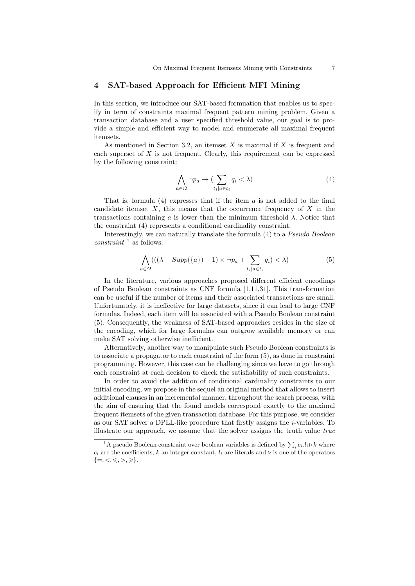#### 4 SAT-based Approach for Efficient MFI Mining

In this section, we introduce our SAT-based formuation that enables us to specify in term of constraints maximal frequent pattern mining problem. Given a transaction database and a user specified threshold value, our goal is to provide a simple and efficient way to model and enumerate all maximal frequent itemsets.

As mentioned in Section 3.2, an itemset  $X$  is maximal if  $X$  is frequent and each superset of X is not frequent. Clearly, this requirement can be expressed by the following constraint:

$$
\bigwedge_{a \in \Omega} \neg p_a \to (\sum_{t_i \mid a \in t_i} q_i < \lambda) \tag{4}
$$

That is, formula (4) expresses that if the item  $a$  is not added to the final candidate itemset  $X$ , this means that the occurrence frequency of  $X$  in the transactions containing a is lower than the minimum threshold  $\lambda$ . Notice that the constraint (4) represents a conditional cardinality constraint.

Interestingly, we can naturally translate the formula (4) to a Pseudo Boolean  $constraint<sup>1</sup>$  as follows:

$$
\bigwedge_{a \in \Omega} (( (\lambda - Supp(\{a\}) - 1) \times \neg p_a + \sum_{t_i | a \in t_i} q_i) < \lambda) \tag{5}
$$

In the literature, various approaches proposed different efficient encodings of Pseudo Boolean constraints as CNF formula [1,11,31]. This transformation can be useful if the number of items and their associated transactions are small. Unfortunately, it is ineffective for large datasets, since it can lead to large CNF formulas. Indeed, each item will be associated with a Pseudo Boolean constraint (5). Consequently, the weakness of SAT-based approaches resides in the size of the encoding, which for large formulas can outgrow available memory or can make SAT solving otherwise inefficient.

Alternatively, another way to manipulate such Pseudo Boolean constraints is to associate a propagator to each constraint of the form (5), as done in constraint programming. However, this case can be challenging since we have to go through each constraint at each decision to check the satisfiability of such constraints.

In order to avoid the addition of conditional cardinality constraints to our initial encoding, we propose in the sequel an original method that allows to insert additional clauses in an incremental manner, throughout the search process, with the aim of ensuring that the found models correspond exactly to the maximal frequent itemsets of the given transaction database. For this purpose, we consider as our SAT solver a DPLL-like procedure that firstly assigns the i-variables. To illustrate our approach, we assume that the solver assigns the truth value true

<sup>&</sup>lt;sup>1</sup>A pseudo Boolean constraint over boolean variables is defined by  $\sum_i c_i l_i \triangleright k$  where  $c_i$  are the coefficients, k an integer constant,  $l_i$  are literals and  $\triangleright$  is one of the operators  $\{=\,<,\leq,>,\geq\}.$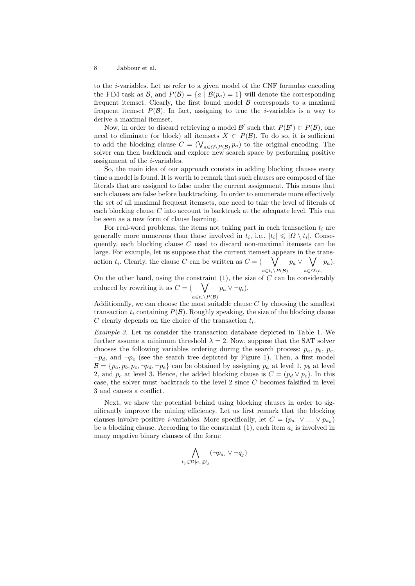to the i-variables. Let us refer to a given model of the CNF formulas encoding the FIM task as  $\mathcal{B}$ , and  $P(\mathcal{B}) = \{a \mid \mathcal{B}(p_a) = 1\}$  will denote the corresponding frequent itemset. Clearly, the first found model  $\beta$  corresponds to a maximal frequent itemset  $P(\mathcal{B})$ . In fact, assigning to true the *i*-variables is a way to derive a maximal itemset.

Now, in order to discard retrieving a model  $\mathcal{B}'$  such that  $P(\mathcal{B}') \subset P(\mathcal{B})$ , one need to eliminate (or block) all itemsets  $X \subset P(\mathcal{B})$ . To do so, it is sufficient to add the blocking clause  $C = (\bigvee_{a \in \Omega \setminus P(\mathcal{B})} p_a)$  to the original encoding. The solver can then backtrack and explore new search space by performing positive assignment of the i-variables.

So, the main idea of our approach consists in adding blocking clauses every time a model is found. It is worth to remark that such clauses are composed of the literals that are assigned to false under the current assignment. This means that such clauses are false before backtracking. In order to enumerate more effectively the set of all maximal frequent itemsets, one need to take the level of literals of each blocking clause  $C$  into account to backtrack at the adequate level. This can be seen as a new form of clause learning.

For real-word problems, the items not taking part in each transaction  $t_i$  are generally more numerous than those involved in  $t_i$ , i.e.,  $|t_i| \leqslant |\Omega \setminus t_i|$ . Consequently, each blocking clause  $C$  used to discard non-maximal itemsets can be large. For example, let us suppose that the current itemset appears in the transaction  $t_i$ . Clearly, the clause C can be written as  $C = \begin{pmatrix} 1 & 1 \\ 0 & 1 \end{pmatrix}$  $a \in t_i \backslash P(\mathcal{B})$  $p_a \vee \Box \bigvee$  $a \in \Omega \backslash t_i$  $p_a$ ).

On the other hand, using the constraint  $(1)$ , the size of C can be considerably reduced by rewriting it as  $C = ($  $a \in t_i \backslash P(\mathcal{B})$  $\bigvee$   $p_a \vee \neg q_i$ ).

Additionally, we can choose the most suitable clause  $C$  by choosing the smallest transaction  $t_i$  containing  $P(\mathcal{B})$ . Roughly speaking, the size of the blocking clause C clearly depends on the choice of the transaction  $t_i$ .

Example 3. Let us consider the transaction database depicted in Table 1. We further assume a minimum threshold  $\lambda = 2$ . Now, suppose that the SAT solver chooses the following variables ordering during the search process:  $p_a$ ,  $p_b$ ,  $p_c$ ,  $\neg p_d$ , and  $\neg p_e$  (see the search tree depicted by Figure 1). Then, a first model  $\mathcal{B} = \{p_a, p_b, p_c, \neg p_d, \neg p_e\}$  can be obtained by assigning  $p_a$  at level 1,  $p_b$  at level 2, and  $p_c$  at level 3. Hence, the added blocking clause is  $C = (p_d \vee p_e)$ . In this case, the solver must backtrack to the level 2 since C becomes falsified in level 3 and causes a conflict.

Next, we show the potential behind using blocking clauses in order to significantly improve the mining efficiency. Let us first remark that the blocking clauses involve positive *i*-variables. More specifically, let  $C = (p_{a_1} \vee \dots \vee p_{a_k})$ be a blocking clause. According to the constraint  $(1)$ , each item  $a_i$  is involved in many negative binary clauses of the form:

$$
\bigwedge_{t_j \in \mathcal{D}|a_i \notin t_j} (\neg p_{a_i} \lor \neg q_j)
$$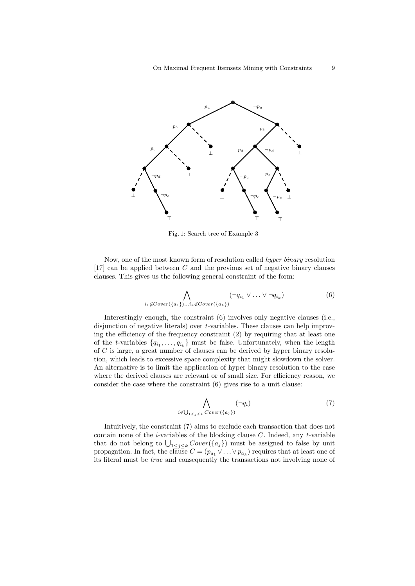

Fig. 1: Search tree of Example 3

Now, one of the most known form of resolution called hyper binary resolution  $[17]$  can be applied between C and the previous set of negative binary clauses clauses. This gives us the following general constraint of the form:

$$
\bigwedge_{i_1 \notin Cover(\{a_1\})\ldots i_k \notin Cover(\{a_k\})} (\neg q_{i_1} \lor \ldots \lor \neg q_{i_k})
$$
\n
$$
(6)
$$

Interestingly enough, the constraint  $(6)$  involves only negative clauses (i.e., disjunction of negative literals) over t-variables. These clauses can help improving the efficiency of the frequency constraint (2) by requiring that at least one of the *t*-variables  $\{q_{i_1}, \ldots, q_{i_k}\}\$  must be false. Unfortunately, when the length of C is large, a great number of clauses can be derived by hyper binary resolution, which leads to excessive space complexity that might slowdown the solver. An alternative is to limit the application of hyper binary resolution to the case where the derived clauses are relevant or of small size. For efficiency reason, we consider the case where the constraint (6) gives rise to a unit clause:

$$
\bigwedge_{i \notin \bigcup_{1 < j < k} \text{Cover}(\{a_j\})} (\neg q_i) \tag{7}
$$

Intuitively, the constraint (7) aims to exclude each transaction that does not contain none of the  $i$ -variables of the blocking clause  $C$ . Indeed, any  $t$ -variable that do not belong to  $\bigcup_{1 \leq j \leq k} Cover(\lbrace a_j \rbrace)$  must be assigned to false by unit propagation. In fact, the clause  $C = (p_{a_1} \vee \ldots \vee p_{a_k})$  requires that at least one of its literal must be true and consequently the transactions not involving none of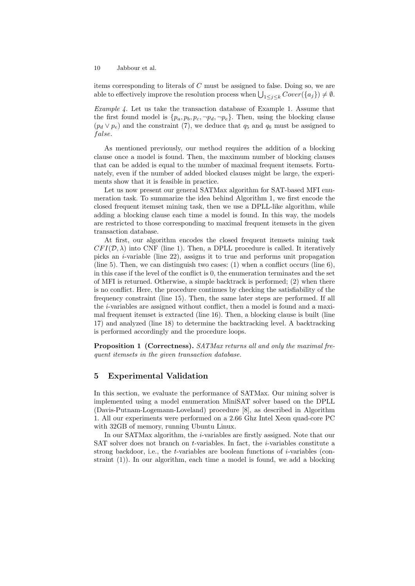items corresponding to literals of C must be assigned to false. Doing so, we are able to effectively improve the resolution process when  $\bigcup_{1 \leq j \leq k} Cover(\lbrace a_j \rbrace) \neq \emptyset$ .

Example 4. Let us take the transaction database of Example 1. Assume that the first found model is  $\{p_a, p_b, p_c, \neg p_d, \neg p_e\}$ . Then, using the blocking clause  $(p_d \vee p_e)$  and the constraint (7), we deduce that  $q_5$  and  $q_6$  must be assigned to false.

As mentioned previously, our method requires the addition of a blocking clause once a model is found. Then, the maximum number of blocking clauses that can be added is equal to the number of maximal frequent itemsets. Fortunately, even if the number of added blocked clauses might be large, the experiments show that it is feasible in practice.

Let us now present our general SATMax algorithm for SAT-based MFI enumeration task. To summarize the idea behind Algorithm 1, we first encode the closed frequent itemset mining task, then we use a DPLL-like algorithm, while adding a blocking clause each time a model is found. In this way, the models are restricted to those corresponding to maximal frequent itemsets in the given transaction database.

At first, our algorithm encodes the closed frequent itemsets mining task  $CFI(\mathcal{D}, \lambda)$  into CNF (line 1). Then, a DPLL procedure is called. It iteratively picks an i-variable (line 22), assigns it to true and performs unit propagation (line 5). Then, we can distinguish two cases: (1) when a conflict occurs (line 6), in this case if the level of the conflict is 0, the enumeration terminates and the set of MFI is returned. Otherwise, a simple backtrack is performed; (2) when there is no conflict. Here, the procedure continues by checking the satisfiability of the frequency constraint (line 15). Then, the same later steps are performed. If all the i-variables are assigned without conflict, then a model is found and a maximal frequent itemset is extracted (line 16). Then, a blocking clause is built (line 17) and analyzed (line 18) to determine the backtracking level. A backtracking is performed accordingly and the procedure loops.

Proposition 1 (Correctness). SATMax returns all and only the maximal frequent itemsets in the given transaction database.

#### 5 Experimental Validation

In this section, we evaluate the performance of SATMax. Our mining solver is implemented using a model enumeration MiniSAT solver based on the DPLL (Davis-Putnam-Logemann-Loveland) procedure [8], as described in Algorithm 1. All our experiments were performed on a 2.66 Ghz Intel Xeon quad-core PC with 32GB of memory, running Ubuntu Linux.

In our SATMax algorithm, the *i*-variables are firstly assigned. Note that our SAT solver does not branch on  $t$ -variables. In fact, the  $i$ -variables constitute a strong backdoor, i.e., the t-variables are boolean functions of i-variables (constraint (1)). In our algorithm, each time a model is found, we add a blocking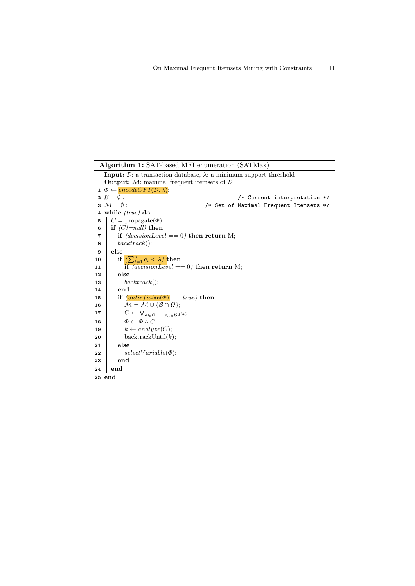| <b>Algorithm 1:</b> SAT-based MFI enumeration (SATMax)                                        |  |  |  |  |  |  |
|-----------------------------------------------------------------------------------------------|--|--|--|--|--|--|
| <b>Input:</b> $\mathcal{D}$ : a transaction database, $\lambda$ : a minimum support threshold |  |  |  |  |  |  |
| <b>Output:</b> $M$ : maximal frequent itemsets of $D$                                         |  |  |  |  |  |  |
| $1 \Phi \leftarrow encodeCFI(\mathcal{D}, \lambda);$                                          |  |  |  |  |  |  |
| $2 \mathcal{B} = \emptyset$ :<br>/* Current interpretation */                                 |  |  |  |  |  |  |
| $3 \mathcal{M} = \emptyset$ :<br>/* Set of Maximal Frequent Itemsets */                       |  |  |  |  |  |  |
| 4 while $(true)$ do                                                                           |  |  |  |  |  |  |
| $C = \text{propagate}(\Phi);$<br>5                                                            |  |  |  |  |  |  |
| if $(C=null)$ then<br>6                                                                       |  |  |  |  |  |  |
| if $(decisionLevel == 0)$ then return M;<br>7                                                 |  |  |  |  |  |  |
| backtrack();<br>8                                                                             |  |  |  |  |  |  |
| else<br>9<br>if $\left(\sum_{i=1}^n q_i < \lambda\right)$ then                                |  |  |  |  |  |  |
| 10<br>if $(decisionLevel == 0)$ then return M;                                                |  |  |  |  |  |  |
| 11<br>else<br>12                                                                              |  |  |  |  |  |  |
| backtrack();<br>13                                                                            |  |  |  |  |  |  |
| end<br>14                                                                                     |  |  |  |  |  |  |
| if $(Satisfiable(\Phi) == true)$ then<br>15                                                   |  |  |  |  |  |  |
| $M = M \cup \{B \cap \Omega\};$<br>16                                                         |  |  |  |  |  |  |
| $C \leftarrow \bigvee_{a \in \Omega} \square_{p_a \in \mathcal{B}} p_a;$<br>17                |  |  |  |  |  |  |
| $\Phi \leftarrow \Phi \wedge C$ ;<br>18                                                       |  |  |  |  |  |  |
| $k \leftarrow analyze(C);$<br>19                                                              |  |  |  |  |  |  |
| backtrackUntil $(k)$ ;<br>20                                                                  |  |  |  |  |  |  |
| else<br>21                                                                                    |  |  |  |  |  |  |
| $selectVariable(\Phi);$<br>22                                                                 |  |  |  |  |  |  |
| end<br>23                                                                                     |  |  |  |  |  |  |
| end<br>24                                                                                     |  |  |  |  |  |  |
| 25 end                                                                                        |  |  |  |  |  |  |
|                                                                                               |  |  |  |  |  |  |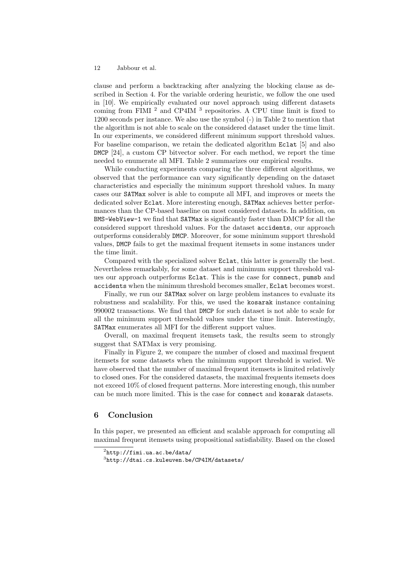clause and perform a backtracking after analyzing the blocking clause as described in Section 4. For the variable ordering heuristic, we follow the one used in [10]. We empirically evaluated our novel approach using different datasets coming from FIMI <sup>2</sup> and CP4IM <sup>3</sup> repositories. A CPU time limit is fixed to 1200 seconds per instance. We also use the symbol (-) in Table 2 to mention that the algorithm is not able to scale on the considered dataset under the time limit. In our experiments, we considered different minimum support threshold values. For baseline comparison, we retain the dedicated algorithm Eclat [5] and also DMCP [24], a custom CP bitvector solver. For each method, we report the time needed to enumerate all MFI. Table 2 summarizes our empirical results.

While conducting experiments comparing the three different algorithms, we observed that the performance can vary significantly depending on the dataset characteristics and especially the minimum support threshold values. In many cases our SATMax solver is able to compute all MFI, and improves or meets the dedicated solver Eclat. More interesting enough, SATMax achieves better performances than the CP-based baseline on most considered datasets. In addition, on BMS-WebView-1 we find that SATMax is significantly faster than DMCP for all the considered support threshold values. For the dataset accidents, our approach outperforms considerably DMCP. Moreover, for some minimum support threshold values, DMCP fails to get the maximal frequent itemsets in some instances under the time limit.

Compared with the specialized solver Eclat, this latter is generally the best. Nevertheless remarkably, for some dataset and minimum support threshold values our approach outperforms Eclat. This is the case for connect, pumsb and accidents when the minimum threshold becomes smaller, Eclat becomes worst.

Finally, we run our SATMax solver on large problem instances to evaluate its robustness and scalability. For this, we used the kosarak instance containing 990002 transactions. We find that DMCP for such dataset is not able to scale for all the minimum support threshold values under the time limit. Interestingly, SATMax enumerates all MFI for the different support values.

Overall, on maximal frequent itemsets task, the results seem to strongly suggest that SATMax is very promising.

Finally in Figure 2, we compare the number of closed and maximal frequent itemsets for some datasets when the minimum support threshold is varied. We have observed that the number of maximal frequent itemsets is limited relatively to closed ones. For the considered datasets, the maximal frequents itemsets does not exceed 10% of closed frequent patterns. More interesting enough, this number can be much more limited. This is the case for connect and kosarak datasets.

#### 6 Conclusion

In this paper, we presented an efficient and scalable approach for computing all maximal frequent itemsets using propositional satisfiability. Based on the closed

 $^{2}$ http://fimi.ua.ac.be/data/

 $^3$ http://dtai.cs.kuleuven.be/CP4IM/datasets/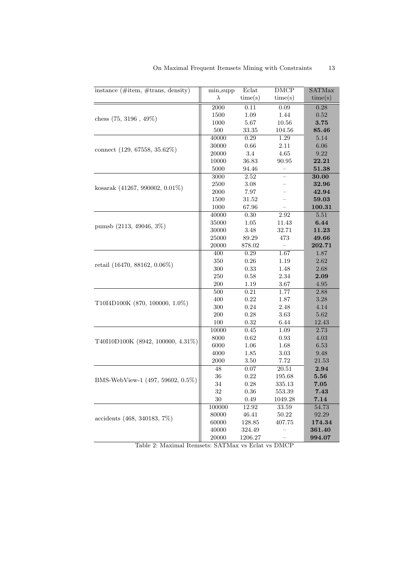| instance (#item, #trans, density) | min_supp     | Eclat        | DMCP                     | <b>SATMax</b> |
|-----------------------------------|--------------|--------------|--------------------------|---------------|
|                                   | $\lambda$    | time(s)      | time(s)                  | time(s)       |
|                                   | 2000         | 0.11         | 0.09                     | 0.28          |
|                                   | 1500         | 1.09         | 1.44                     | 0.52          |
| chess $(75, 3196, 49\%)$          | 1000         | 5.67         | 10.56                    | 3.75          |
|                                   | 500          | 33.35        | $104.56\,$               | 85.46         |
|                                   | 40000        | 0.29         | 1.29                     | 5.14          |
|                                   | 30000        | 0.66         | 2.11                     | 6.06          |
| connect (129, 67558, 35.62%)      | 20000        | 3.4          | 4.65                     | 9.22          |
|                                   | 10000        | 36.83        | 90.95                    | 22.21         |
|                                   | 5000         | 94.46        | $\overline{\phantom{0}}$ | 51.38         |
|                                   | 3000         | 2.52         |                          | 30.00         |
| kosarak (41267, 990002, 0.01%)    | 2500         | $3.08\,$     |                          | 32.96         |
|                                   | 2000         | 7.97         | $\overline{\phantom{0}}$ | 42.94         |
|                                   | 1500         | 31.52        | $=$                      | 59.03         |
|                                   | $1000\,$     | 67.96        |                          | 100.31        |
|                                   | 40000        | 0.30         | 2.92                     | $5.51\,$      |
| pumsb (2113, 49046, 3%)           | 35000        | 1.05         | 11.43                    | 6.44          |
|                                   | 30000        | 3.48         | 32.71                    | 11.23         |
|                                   | 25000        | 89.29        | 473                      | 49.66         |
|                                   | 20000        | 878.02       | $\equiv$                 | 202.71        |
|                                   | 400          | 0.29         | 1.67                     | $1.87\,$      |
| retail (16470, 88162, 0.06%)      | 350          | 0.26         | 1.19                     | 2.62          |
|                                   | 300          | 0.33         | 1.48                     | 2.68          |
|                                   | 250          | 0.58         | 2.34                     | 2.09          |
|                                   | 200          | 1.19         | 3.67                     | 4.95          |
|                                   | 500          | 0.21         | 1.77                     | 2.88          |
| T10I4D100K (870, 100000, 1.0%)    | 400          | 0.22         | 1.87                     | 3.28          |
|                                   | 300          | 0.24         | 2.48                     | 4.14          |
|                                   | 200          | 0.28         | 3.63                     | 5.62          |
|                                   | 100          | 0.32         | 6.44                     | 12.43         |
|                                   | 10000        | 0.45         | 1.09                     | 2.73          |
| T40I10D100K (8942, 100000, 4.31%) | 8000         | 0.62         | 0.93                     | 4.03<br>6.53  |
|                                   | 6000<br>4000 | 1.06<br>1.85 | 1.68<br>3.03             | 9.48          |
|                                   | 2000         | 3.50         | 7.72                     | 21.53         |
|                                   | 48           | 0.07         | 20.51                    | 2.94          |
|                                   | 36           | 0.22         | 195.68                   | 5.56          |
| BMS-WebView-1 (497, 59602, 0.5%)  | 34           | 0.28         | 335.13                   | 7.05          |
|                                   | $32\,$       | 0.36         | 553.39                   | 7.43          |
|                                   | 30           | 0.49         | 1049.28                  | 7.14          |
|                                   | 100000       | 12.92        | 33.59                    | 54.73         |
|                                   | 80000        | 46.41        | 50.22                    | 92.29         |
| accidents (468, 340183, 7%)       | 60000        | 128.85       | 407.75                   | 174.34        |
|                                   | 40000        | 324.49       |                          | 361.40        |
|                                   | 20000        | 1206.27      |                          | 994.07        |
|                                   |              |              |                          |               |

Table 2: Maximal Itemsets: SATMax vs Eclat vs DMCP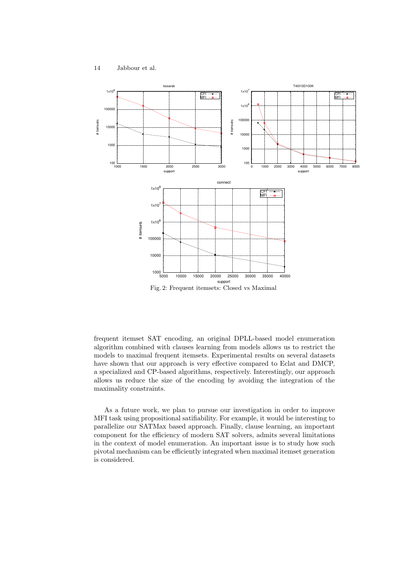

frequent itemset SAT encoding, an original DPLL-based model enumeration algorithm combined with clauses learning from models allows us to restrict the models to maximal frequent itemsets. Experimental results on several datasets have shown that our approach is very effective compared to Eclat and DMCP, a specialized and CP-based algorithms, respectively. Interestingly, our approach allows us reduce the size of the encoding by avoiding the integration of the maximality constraints.

As a future work, we plan to pursue our investigation in order to improve MFI task using propositional satifiability. For example, it would be interesting to parallelize our SATMax based approach. Finally, clause learning, an important component for the efficiency of modern SAT solvers, admits several limitations in the context of model enumeration. An important issue is to study how such pivotal mechanism can be efficiently integrated when maximal itemset generation is considered.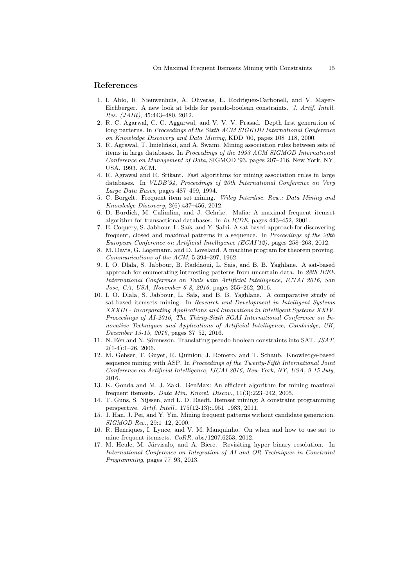#### References

- 1. I. Abío, R. Nieuwenhuis, A. Oliveras, E. Rodríguez-Carbonell, and V. Mayer-Eichberger. A new look at bdds for pseudo-boolean constraints. J. Artif. Intell. Res. (JAIR), 45:443–480, 2012.
- 2. R. C. Agarwal, C. C. Aggarwal, and V. V. V. Prasad. Depth first generation of long patterns. In Proceedings of the Sixth ACM SIGKDD International Conference on Knowledge Discovery and Data Mining, KDD '00, pages 108–118, 2000.
- 3. R. Agrawal, T. Imieliński, and A. Swami. Mining association rules between sets of items in large databases. In Proceedings of the 1993 ACM SIGMOD International Conference on Management of Data, SIGMOD '93, pages 207–216, New York, NY, USA, 1993. ACM.
- 4. R. Agrawal and R. Srikant. Fast algorithms for mining association rules in large databases. In *VLDB*'94, Proceedings of 20th International Conference on Very Large Data Bases, pages 487–499, 1994.
- 5. C. Borgelt. Frequent item set mining. Wiley Interdisc. Rew.: Data Mining and Knowledge Discovery, 2(6):437–456, 2012.
- 6. D. Burdick, M. Calimlim, and J. Gehrke. Mafia: A maximal frequent itemset algorithm for transactional databases. In In ICDE, pages 443–452, 2001.
- 7. E. Coquery, S. Jabbour, L. Saïs, and Y. Salhi. A sat-based approach for discovering frequent, closed and maximal patterns in a sequence. In Proceedings of the 20th European Conference on Artificial Intelligence (ECAI'12), pages 258–263, 2012.
- 8. M. Davis, G. Logemann, and D. Loveland. A machine program for theorem proving. Communications of the ACM, 5:394–397, 1962.
- 9. I. O. Dlala, S. Jabbour, B. Raddaoui, L. Sais, and B. B. Yaghlane. A sat-based approach for enumerating interesting patterns from uncertain data. In 28th IEEE International Conference on Tools with Artificial Intelligence, ICTAI 2016, San Jose, CA, USA, November 6-8, 2016, pages 255–262, 2016.
- 10. I. O. Dlala, S. Jabbour, L. Sa¨ıs, and B. B. Yaghlane. A comparative study of sat-based itemsets mining. In Research and Development in Intelligent Systems XXXIII - Incorporating Applications and Innovations in Intelligent Systems XXIV. Proceedings of AI-2016, The Thirty-Sixth SGAI International Conference on Innovative Techniques and Applications of Artificial Intelligence, Cambridge, UK, December 13-15, 2016, pages 37–52, 2016.
- 11. N. Eén and N. Sörensson. Translating pseudo-boolean constraints into SAT. JSAT,  $2(1-4):1-26, 2006.$
- 12. M. Gebser, T. Guyet, R. Quiniou, J. Romero, and T. Schaub. Knowledge-based sequence mining with ASP. In Proceedings of the Twenty-Fifth International Joint Conference on Artificial Intelligence, IJCAI 2016, New York, NY, USA, 9-15 July, 2016.
- 13. K. Gouda and M. J. Zaki. GenMax: An efficient algorithm for mining maximal frequent itemsets. Data Min. Knowl. Discov., 11(3):223–242, 2005.
- 14. T. Guns, S. Nijssen, and L. D. Raedt. Itemset mining: A constraint programming perspective. Artif. Intell., 175(12-13):1951–1983, 2011.
- 15. J. Han, J. Pei, and Y. Yin. Mining frequent patterns without candidate generation. SIGMOD Rec., 29:1–12, 2000.
- 16. R. Henriques, I. Lynce, and V. M. Manquinho. On when and how to use sat to mine frequent itemsets.  $CoRR$ , abs/1207.6253, 2012.
- 17. M. Heule, M. Järvisalo, and A. Biere. Revisiting hyper binary resolution. In International Conference on Integration of AI and OR Techniques in Constraint Programming, pages 77–93, 2013.